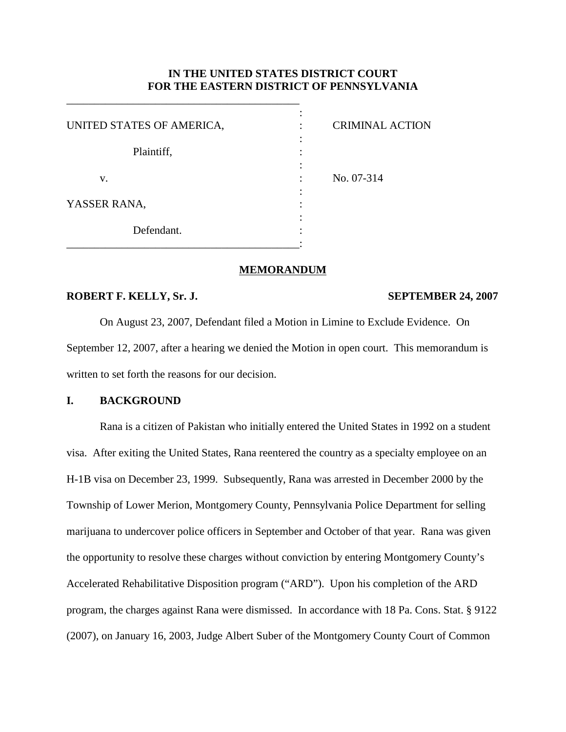# **IN THE UNITED STATES DISTRICT COURT FOR THE EASTERN DISTRICT OF PENNSYLVANIA**

| UNITED STATES OF AMERICA, | <b>CRIMINAL ACTION</b> |
|---------------------------|------------------------|
|                           |                        |
| Plaintiff,                |                        |
|                           |                        |
| V.                        | No. 07-314             |
|                           |                        |
| YASSER RANA,              |                        |
|                           |                        |
| Defendant.                |                        |
|                           |                        |

\_\_\_\_\_\_\_\_\_\_\_\_\_\_\_\_\_\_\_\_\_\_\_\_\_\_\_\_\_\_\_\_\_\_\_\_\_\_\_\_\_\_

### **MEMORANDUM**

## **ROBERT F. KELLY, Sr. J. SEPTEMBER 24, 2007**

On August 23, 2007, Defendant filed a Motion in Limine to Exclude Evidence. On September 12, 2007, after a hearing we denied the Motion in open court. This memorandum is written to set forth the reasons for our decision.

### **I. BACKGROUND**

Rana is a citizen of Pakistan who initially entered the United States in 1992 on a student visa. After exiting the United States, Rana reentered the country as a specialty employee on an H-1B visa on December 23, 1999. Subsequently, Rana was arrested in December 2000 by the Township of Lower Merion, Montgomery County, Pennsylvania Police Department for selling marijuana to undercover police officers in September and October of that year. Rana was given the opportunity to resolve these charges without conviction by entering Montgomery County's Accelerated Rehabilitative Disposition program ("ARD"). Upon his completion of the ARD program, the charges against Rana were dismissed. In accordance with 18 Pa. Cons. Stat. § 9122 (2007), on January 16, 2003, Judge Albert Suber of the Montgomery County Court of Common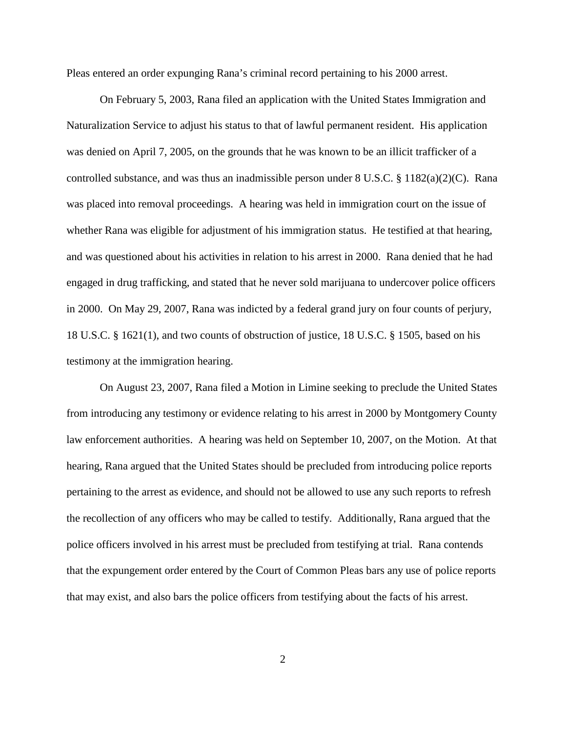Pleas entered an order expunging Rana's criminal record pertaining to his 2000 arrest.

On February 5, 2003, Rana filed an application with the United States Immigration and Naturalization Service to adjust his status to that of lawful permanent resident. His application was denied on April 7, 2005, on the grounds that he was known to be an illicit trafficker of a controlled substance, and was thus an inadmissible person under 8 U.S.C. § 1182(a)(2)(C). Rana was placed into removal proceedings. A hearing was held in immigration court on the issue of whether Rana was eligible for adjustment of his immigration status. He testified at that hearing, and was questioned about his activities in relation to his arrest in 2000. Rana denied that he had engaged in drug trafficking, and stated that he never sold marijuana to undercover police officers in 2000. On May 29, 2007, Rana was indicted by a federal grand jury on four counts of perjury, 18 U.S.C. § 1621(1), and two counts of obstruction of justice, 18 U.S.C. § 1505, based on his testimony at the immigration hearing.

On August 23, 2007, Rana filed a Motion in Limine seeking to preclude the United States from introducing any testimony or evidence relating to his arrest in 2000 by Montgomery County law enforcement authorities. A hearing was held on September 10, 2007, on the Motion. At that hearing, Rana argued that the United States should be precluded from introducing police reports pertaining to the arrest as evidence, and should not be allowed to use any such reports to refresh the recollection of any officers who may be called to testify. Additionally, Rana argued that the police officers involved in his arrest must be precluded from testifying at trial. Rana contends that the expungement order entered by the Court of Common Pleas bars any use of police reports that may exist, and also bars the police officers from testifying about the facts of his arrest.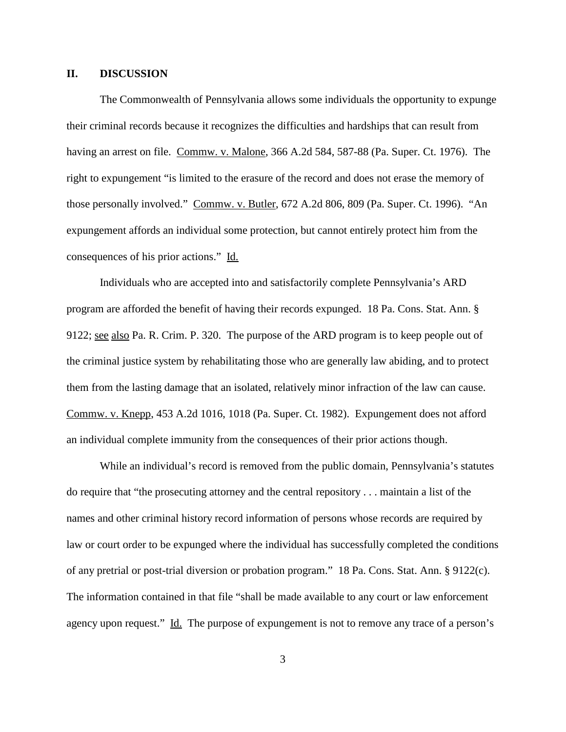## **II. DISCUSSION**

The Commonwealth of Pennsylvania allows some individuals the opportunity to expunge their criminal records because it recognizes the difficulties and hardships that can result from having an arrest on file. Commw. v. Malone, 366 A.2d 584, 587-88 (Pa. Super. Ct. 1976). The right to expungement "is limited to the erasure of the record and does not erase the memory of those personally involved." Commw. v. Butler, 672 A.2d 806, 809 (Pa. Super. Ct. 1996). "An expungement affords an individual some protection, but cannot entirely protect him from the consequences of his prior actions." Id.

Individuals who are accepted into and satisfactorily complete Pennsylvania's ARD program are afforded the benefit of having their records expunged. 18 Pa. Cons. Stat. Ann. § 9122; see also Pa. R. Crim. P. 320. The purpose of the ARD program is to keep people out of the criminal justice system by rehabilitating those who are generally law abiding, and to protect them from the lasting damage that an isolated, relatively minor infraction of the law can cause. Commw. v. Knepp, 453 A.2d 1016, 1018 (Pa. Super. Ct. 1982). Expungement does not afford an individual complete immunity from the consequences of their prior actions though.

While an individual's record is removed from the public domain, Pennsylvania's statutes do require that "the prosecuting attorney and the central repository . . . maintain a list of the names and other criminal history record information of persons whose records are required by law or court order to be expunged where the individual has successfully completed the conditions of any pretrial or post-trial diversion or probation program." 18 Pa. Cons. Stat. Ann. § 9122(c). The information contained in that file "shall be made available to any court or law enforcement agency upon request." Id. The purpose of expungement is not to remove any trace of a person's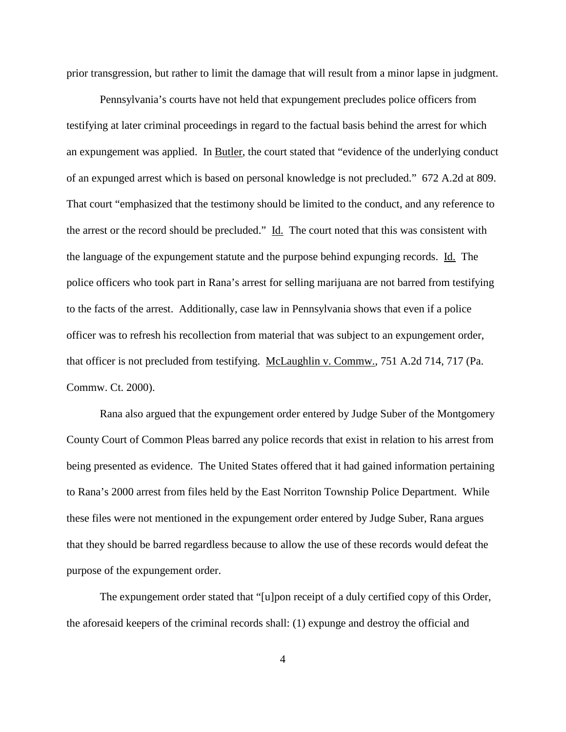prior transgression, but rather to limit the damage that will result from a minor lapse in judgment.

Pennsylvania's courts have not held that expungement precludes police officers from testifying at later criminal proceedings in regard to the factual basis behind the arrest for which an expungement was applied. In Butler, the court stated that "evidence of the underlying conduct of an expunged arrest which is based on personal knowledge is not precluded." 672 A.2d at 809. That court "emphasized that the testimony should be limited to the conduct, and any reference to the arrest or the record should be precluded." Id. The court noted that this was consistent with the language of the expungement statute and the purpose behind expunging records. Id. The police officers who took part in Rana's arrest for selling marijuana are not barred from testifying to the facts of the arrest. Additionally, case law in Pennsylvania shows that even if a police officer was to refresh his recollection from material that was subject to an expungement order, that officer is not precluded from testifying. McLaughlin v. Commw., 751 A.2d 714, 717 (Pa. Commw. Ct. 2000).

Rana also argued that the expungement order entered by Judge Suber of the Montgomery County Court of Common Pleas barred any police records that exist in relation to his arrest from being presented as evidence. The United States offered that it had gained information pertaining to Rana's 2000 arrest from files held by the East Norriton Township Police Department. While these files were not mentioned in the expungement order entered by Judge Suber, Rana argues that they should be barred regardless because to allow the use of these records would defeat the purpose of the expungement order.

The expungement order stated that "[u]pon receipt of a duly certified copy of this Order, the aforesaid keepers of the criminal records shall: (1) expunge and destroy the official and